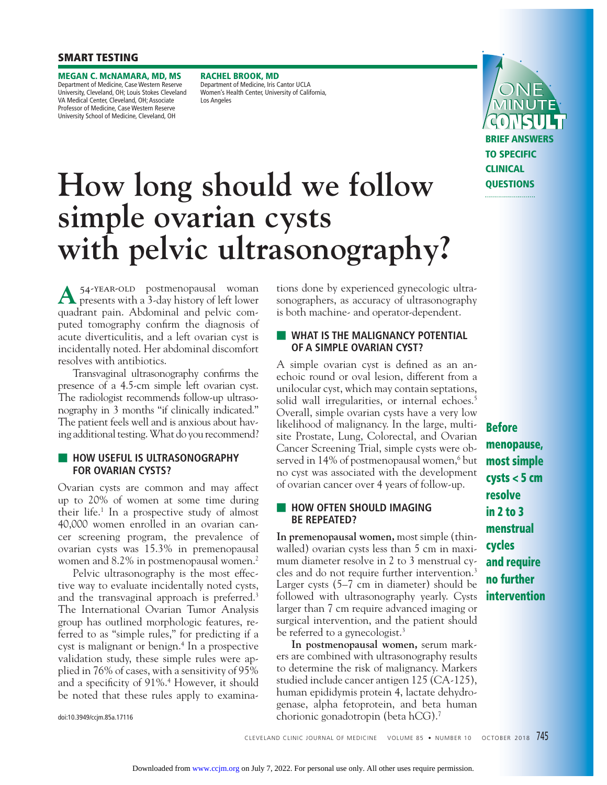# **SMART TESTING**

**MEGAN C. McNAMARA, MD, MS** Department of Medicine, Case Western Reserve University, Cleveland, OH; Louis Stokes Cleveland VA Medical Center, Cleveland, OH; Associate Professor of Medicine, Case Western Reserve University School of Medicine, Cleveland, OH

**RACHEL BROOK, MD** Department of Medicine, Iris Cantor UCLA Women's Health Center, University of California, Los Angeles



# **How long should we follow simple ovarian cysts with pelvic ultrasonography?**

**A** 54-year-old postmenopausal woman presents with a 3-day history of left lower quadrant pain. Abdominal and pelvic computed tomography confirm the diagnosis of acute diverticulitis, and a left ovarian cyst is incidentally noted. Her abdominal discomfort resolves with antibiotics.

Transvaginal ultrasonography confirms the presence of a 4.5-cm simple left ovarian cyst. The radiologist recommends follow-up ultrasonography in 3 months "if clinically indicated." The patient feels well and is anxious about having additional testing. What do you recommend?

# **EXECUTE HOW USEFUL IS ULTRASONOGRAPHY FOR OVARIAN CYSTS?**

Ovarian cysts are common and may affect up to 20% of women at some time during their life.<sup>1</sup> In a prospective study of almost 40,000 women enrolled in an ovarian cancer screening program, the prevalence of ovarian cysts was 15.3% in premenopausal women and 8.2% in postmenopausal women.<sup>2</sup>

 Pelvic ultrasonography is the most effective way to evaluate incidentally noted cysts, and the transvaginal approach is preferred.<sup>3</sup> The International Ovarian Tumor Analysis group has outlined morphologic features, referred to as "simple rules," for predicting if a cyst is malignant or benign.4 In a prospective validation study, these simple rules were applied in 76% of cases, with a sensitivity of 95% and a specificity of 91%.<sup>4</sup> However, it should be noted that these rules apply to examina-

doi:10.3949/ccjm.85a.17116

tions done by experienced gynecologic ultrasonographers, as accuracy of ultrasonography is both machine- and operator-dependent.

### ■ **WHAT IS THE MALIGNANCY POTENTIAL OF A SIMPLE OVARIAN CYST?**

A simple ovarian cyst is defined as an anechoic round or oval lesion, different from a unilocular cyst, which may contain septations, solid wall irregularities, or internal echoes.<sup>5</sup> Overall, simple ovarian cysts have a very low likelihood of malignancy. In the large, multisite Prostate, Lung, Colorectal, and Ovarian Cancer Screening Trial, simple cysts were observed in 14% of postmenopausal women,<sup>6</sup> but no cyst was associated with the development of ovarian cancer over 4 years of follow-up.

#### **EXECUTED SHOULD IMAGING BE REPEATED?**

**In premenopausal women,** most simple (thinwalled) ovarian cysts less than 5 cm in maximum diameter resolve in 2 to 3 menstrual cycles and do not require further intervention.<sup>3</sup> Larger cysts (5–7 cm in diameter) should be followed with ultrasonography yearly. Cysts larger than 7 cm require advanced imaging or surgical intervention, and the patient should be referred to a gynecologist.<sup>3</sup>

**In postmenopausal women,** serum markers are combined with ultrasonography results to determine the risk of malignancy. Markers studied include cancer antigen 125 (CA-125), human epididymis protein 4, lactate dehydrogenase, alpha fetoprotein, and beta human chorionic gonadotropin (beta hCG).7

**Before menopause, most simple cysts < 5 cm resolve in 2 to 3 menstrual cycles and require no further intervention**

CLEVELAND CLINIC JOURNAL OF MEDICINE VOLUME 85 • NUMBER 10 OCTOBER 2018 745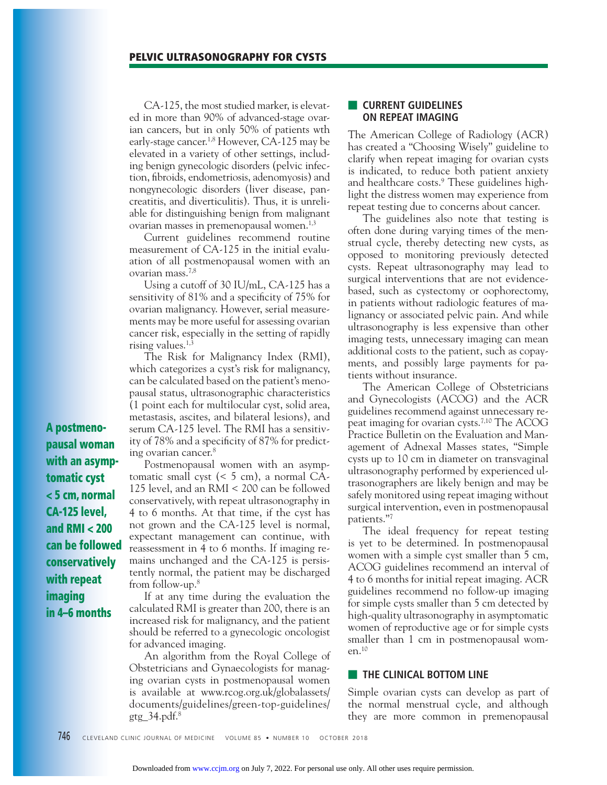CA-125, the most studied marker, is elevated in more than 90% of advanced-stage ovarian cancers, but in only 50% of patients wth early-stage cancer.<sup>1,8</sup> However, CA-125 may be elevated in a variety of other settings, including benign gynecologic disorders (pelvic infection, fibroids, endometriosis, adenomyosis) and nongynecologic disorders (liver disease, pancreatitis, and diverticulitis). Thus, it is unreliable for distinguishing benign from malignant ovarian masses in premenopausal women.<sup>1,3</sup>

 Current guidelines recommend routine measurement of CA-125 in the initial evaluation of all postmenopausal women with an ovarian mass.7,8

 Using a cutoff of 30 IU/mL, CA-125 has a sensitivity of  $81\%$  and a specificity of  $75\%$  for ovarian malignancy. However, serial measurements may be more useful for assessing ovarian cancer risk, especially in the setting of rapidly rising values. $1,3$ 

 The Risk for Malignancy Index (RMI), which categorizes a cyst's risk for malignancy, can be calculated based on the patient's menopausal status, ultrasonographic characteristics (1 point each for multilocular cyst, solid area, metastasis, ascites, and bilateral lesions), and serum CA-125 level. The RMI has a sensitivity of 78% and a specificity of 87% for predicting ovarian cancer.8

 Postmenopausal women with an asymptomatic small cyst  $(< 5$  cm), a normal CA-125 level, and an RMI < 200 can be followed conservatively, with repeat ultrasonography in 4 to 6 months. At that time, if the cyst has not grown and the CA-125 level is normal, expectant management can continue, with reassessment in 4 to 6 months. If imaging remains unchanged and the CA-125 is persistently normal, the patient may be discharged from follow-up.8

 If at any time during the evaluation the calculated RMI is greater than 200, there is an increased risk for malignancy, and the patient should be referred to a gynecologic oncologist for advanced imaging.

 An algorithm from the Royal College of Obstetricians and Gynaecologists for managing ovarian cysts in postmenopausal women is available at www.rcog.org.uk/globalassets/ documents/guidelines/green-top-guidelines/ gtg  $34.$ pdf. $8$ 

#### ■ **CURRENT GUIDELINES ON REPEAT IMAGING**

The American College of Radiology (ACR) has created a "Choosing Wisely" guideline to clarify when repeat imaging for ovarian cysts is indicated, to reduce both patient anxiety and healthcare costs.<sup>9</sup> These guidelines highlight the distress women may experience from repeat testing due to concerns about cancer.

 The guidelines also note that testing is often done during varying times of the menstrual cycle, thereby detecting new cysts, as opposed to monitoring previously detected cysts. Repeat ultrasonography may lead to surgical interventions that are not evidencebased, such as cystectomy or oophorectomy, in patients without radiologic features of malignancy or associated pelvic pain. And while ultrasonography is less expensive than other imaging tests, unnecessary imaging can mean additional costs to the patient, such as copayments, and possibly large payments for patients without insurance.

 The American College of Obstetricians and Gynecologists (ACOG) and the ACR guidelines recommend against unnecessary repeat imaging for ovarian cysts.7,10 The ACOG Practice Bulletin on the Evaluation and Management of Adnexal Masses states, "Simple cysts up to 10 cm in diameter on transvaginal ultrasonography performed by experienced ultrasonographers are likely benign and may be safely monitored using repeat imaging without surgical intervention, even in postmenopausal patients."7

 The ideal frequency for repeat testing is yet to be determined. In postmenopausal women with a simple cyst smaller than 5 cm, ACOG guidelines recommend an interval of 4 to 6 months for initial repeat imaging. ACR guidelines recommend no follow-up imaging for simple cysts smaller than 5 cm detected by high-quality ultrasonography in asymptomatic women of reproductive age or for simple cysts smaller than 1 cm in postmenopausal women.10

### **THE CLINICAL BOTTOM LINE**

Simple ovarian cysts can develop as part of the normal menstrual cycle, and although they are more common in premenopausal

**A postmenopausal woman with an asymptomatic cyst < 5 cm, normal CA-125 level, and RMI < 200 can be followed conservatively with repeat imaging in 4–6 months**